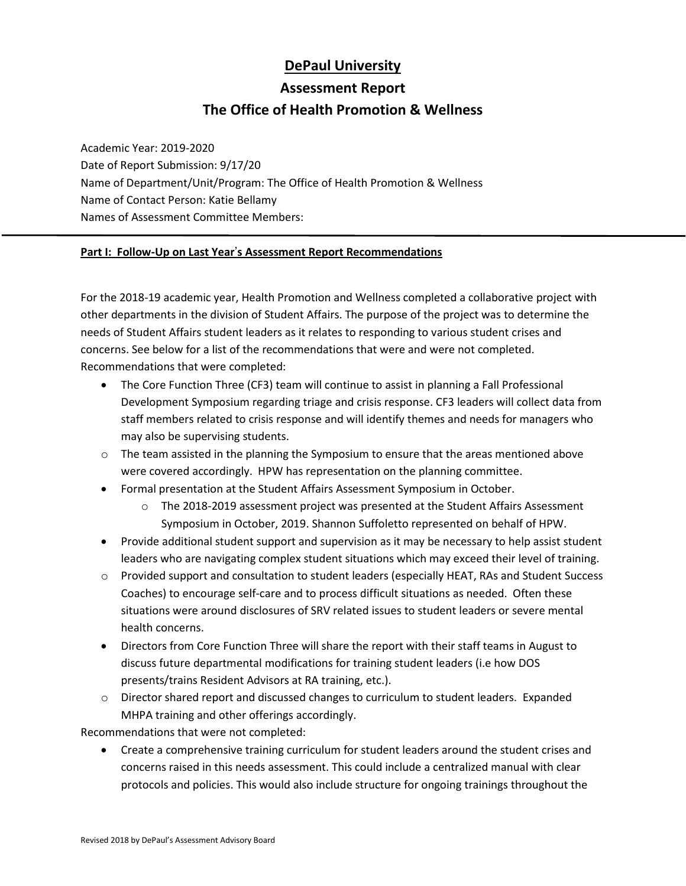# **DePaul University**

# **Assessment Report**

# **The Office of Health Promotion & Wellness**

Academic Year: 2019-2020 Date of Report Submission: 9/17/20 Name of Department/Unit/Program: The Office of Health Promotion & Wellness Name of Contact Person: Katie Bellamy Names of Assessment Committee Members:

#### **Part I: Follow-Up on Last Year**'**s Assessment Report Recommendations**

For the 2018-19 academic year, Health Promotion and Wellness completed a collaborative project with other departments in the division of Student Affairs. The purpose of the project was to determine the needs of Student Affairs student leaders as it relates to responding to various student crises and concerns. See below for a list of the recommendations that were and were not completed. Recommendations that were completed:

- The Core Function Three (CF3) team will continue to assist in planning a Fall Professional Development Symposium regarding triage and crisis response. CF3 leaders will collect data from staff members related to crisis response and will identify themes and needs for managers who may also be supervising students.
- $\circ$  The team assisted in the planning the Symposium to ensure that the areas mentioned above were covered accordingly. HPW has representation on the planning committee.
- Formal presentation at the Student Affairs Assessment Symposium in October.
	- $\circ$  The 2018-2019 assessment project was presented at the Student Affairs Assessment Symposium in October, 2019. Shannon Suffoletto represented on behalf of HPW.
- Provide additional student support and supervision as it may be necessary to help assist student leaders who are navigating complex student situations which may exceed their level of training.
- o Provided support and consultation to student leaders (especially HEAT, RAs and Student Success Coaches) to encourage self-care and to process difficult situations as needed. Often these situations were around disclosures of SRV related issues to student leaders or severe mental health concerns.
- Directors from Core Function Three will share the report with their staff teams in August to discuss future departmental modifications for training student leaders (i.e how DOS presents/trains Resident Advisors at RA training, etc.).
- $\circ$  Director shared report and discussed changes to curriculum to student leaders. Expanded MHPA training and other offerings accordingly.

Recommendations that were not completed:

• Create a comprehensive training curriculum for student leaders around the student crises and concerns raised in this needs assessment. This could include a centralized manual with clear protocols and policies. This would also include structure for ongoing trainings throughout the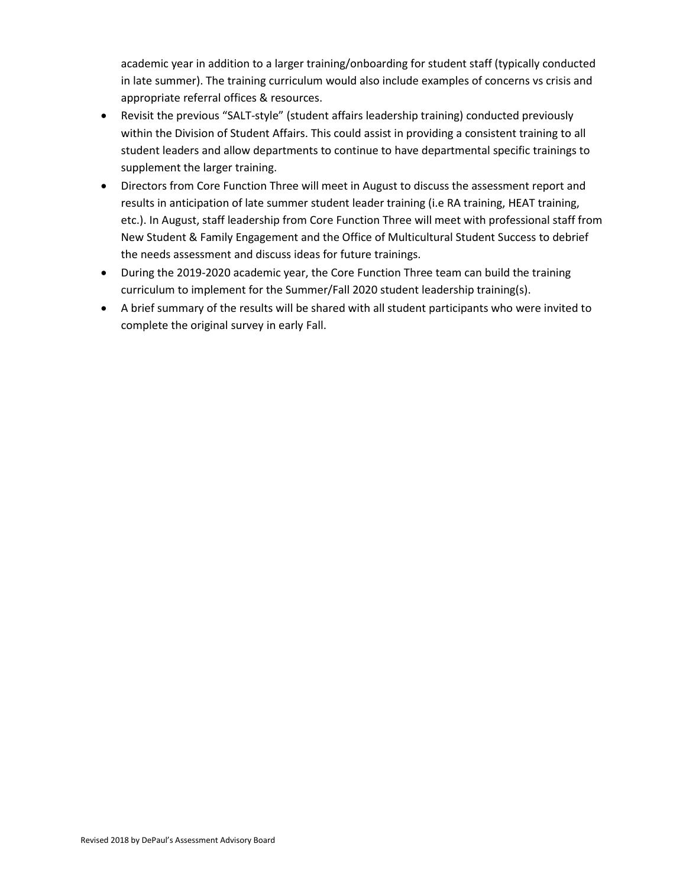academic year in addition to a larger training/onboarding for student staff (typically conducted in late summer). The training curriculum would also include examples of concerns vs crisis and appropriate referral offices & resources.

- Revisit the previous "SALT-style" (student affairs leadership training) conducted previously within the Division of Student Affairs. This could assist in providing a consistent training to all student leaders and allow departments to continue to have departmental specific trainings to supplement the larger training.
- Directors from Core Function Three will meet in August to discuss the assessment report and results in anticipation of late summer student leader training (i.e RA training, HEAT training, etc.). In August, staff leadership from Core Function Three will meet with professional staff from New Student & Family Engagement and the Office of Multicultural Student Success to debrief the needs assessment and discuss ideas for future trainings.
- During the 2019-2020 academic year, the Core Function Three team can build the training curriculum to implement for the Summer/Fall 2020 student leadership training(s).
- A brief summary of the results will be shared with all student participants who were invited to complete the original survey in early Fall.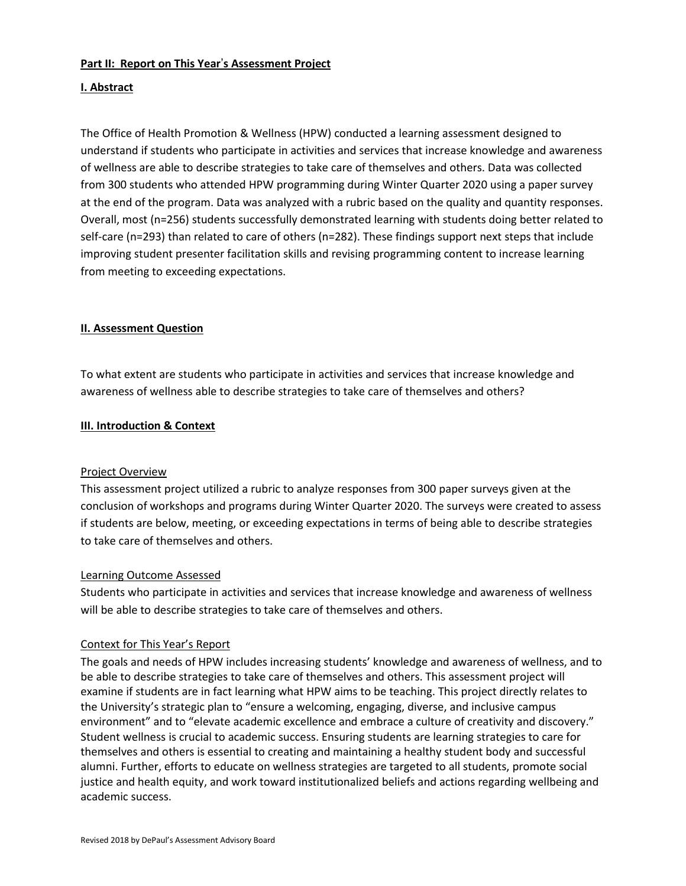#### **Part II: Report on This Year**'**s Assessment Project**

#### **I. Abstract**

The Office of Health Promotion & Wellness (HPW) conducted a learning assessment designed to understand if students who participate in activities and services that increase knowledge and awareness of wellness are able to describe strategies to take care of themselves and others. Data was collected from 300 students who attended HPW programming during Winter Quarter 2020 using a paper survey at the end of the program. Data was analyzed with a rubric based on the quality and quantity responses. Overall, most (n=256) students successfully demonstrated learning with students doing better related to self-care (n=293) than related to care of others (n=282). These findings support next steps that include improving student presenter facilitation skills and revising programming content to increase learning from meeting to exceeding expectations.

#### **II. Assessment Question**

To what extent are students who participate in activities and services that increase knowledge and awareness of wellness able to describe strategies to take care of themselves and others?

#### **III. Introduction & Context**

#### Project Overview

This assessment project utilized a rubric to analyze responses from 300 paper surveys given at the conclusion of workshops and programs during Winter Quarter 2020. The surveys were created to assess if students are below, meeting, or exceeding expectations in terms of being able to describe strategies to take care of themselves and others.

#### Learning Outcome Assessed

Students who participate in activities and services that increase knowledge and awareness of wellness will be able to describe strategies to take care of themselves and others.

#### Context for This Year's Report

The goals and needs of HPW includes increasing students' knowledge and awareness of wellness, and to be able to describe strategies to take care of themselves and others. This assessment project will examine if students are in fact learning what HPW aims to be teaching. This project directly relates to the University's strategic plan to "ensure a welcoming, engaging, diverse, and inclusive campus environment" and to "elevate academic excellence and embrace a culture of creativity and discovery." Student wellness is crucial to academic success. Ensuring students are learning strategies to care for themselves and others is essential to creating and maintaining a healthy student body and successful alumni. Further, efforts to educate on wellness strategies are targeted to all students, promote social justice and health equity, and work toward institutionalized beliefs and actions regarding wellbeing and academic success.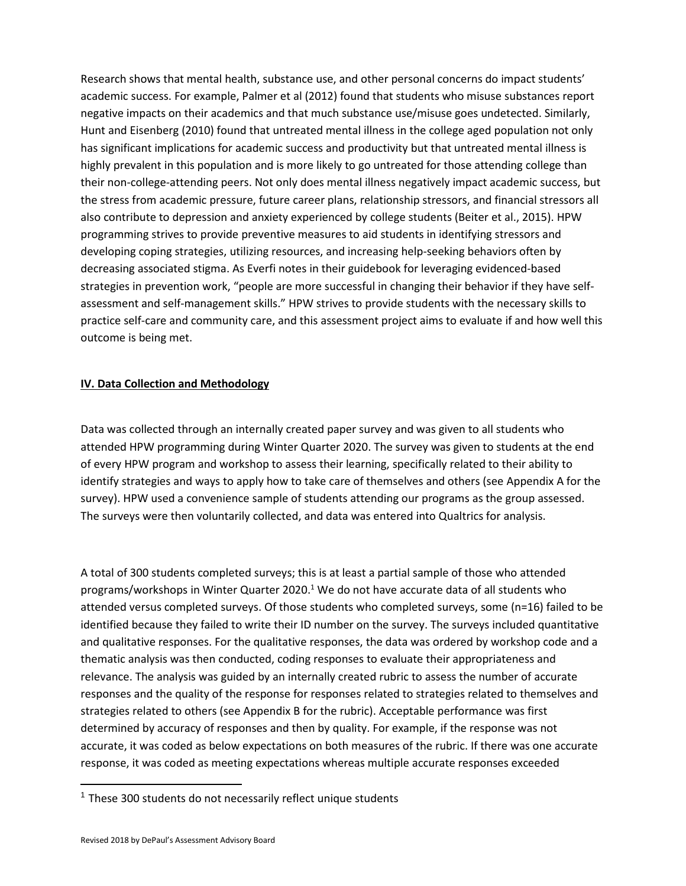Research shows that mental health, substance use, and other personal concerns do impact students' academic success. For example, Palmer et al (2012) found that students who misuse substances report negative impacts on their academics and that much substance use/misuse goes undetected. Similarly, Hunt and Eisenberg (2010) found that untreated mental illness in the college aged population not only has significant implications for academic success and productivity but that untreated mental illness is highly prevalent in this population and is more likely to go untreated for those attending college than their non-college-attending peers. Not only does mental illness negatively impact academic success, but the stress from academic pressure, future career plans, relationship stressors, and financial stressors all also contribute to depression and anxiety experienced by college students (Beiter et al., 2015). HPW programming strives to provide preventive measures to aid students in identifying stressors and developing coping strategies, utilizing resources, and increasing help-seeking behaviors often by decreasing associated stigma. As Everfi notes in their guidebook for leveraging evidenced-based strategies in prevention work, "people are more successful in changing their behavior if they have selfassessment and self-management skills." HPW strives to provide students with the necessary skills to practice self-care and community care, and this assessment project aims to evaluate if and how well this outcome is being met.

#### **IV. Data Collection and Methodology**

Data was collected through an internally created paper survey and was given to all students who attended HPW programming during Winter Quarter 2020. The survey was given to students at the end of every HPW program and workshop to assess their learning, specifically related to their ability to identify strategies and ways to apply how to take care of themselves and others (see Appendix A for the survey). HPW used a convenience sample of students attending our programs as the group assessed. The surveys were then voluntarily collected, and data was entered into Qualtrics for analysis.

A total of 300 students completed surveys; this is at least a partial sample of those who attended programs/workshops in Winter Quarter 2020.<sup>1</sup> We do not have accurate data of all students who attended versus completed surveys. Of those students who completed surveys, some (n=16) failed to be identified because they failed to write their ID number on the survey. The surveys included quantitative and qualitative responses. For the qualitative responses, the data was ordered by workshop code and a thematic analysis was then conducted, coding responses to evaluate their appropriateness and relevance. The analysis was guided by an internally created rubric to assess the number of accurate responses and the quality of the response for responses related to strategies related to themselves and strategies related to others (see Appendix B for the rubric). Acceptable performance was first determined by accuracy of responses and then by quality. For example, if the response was not accurate, it was coded as below expectations on both measures of the rubric. If there was one accurate response, it was coded as meeting expectations whereas multiple accurate responses exceeded

 $1$  These 300 students do not necessarily reflect unique students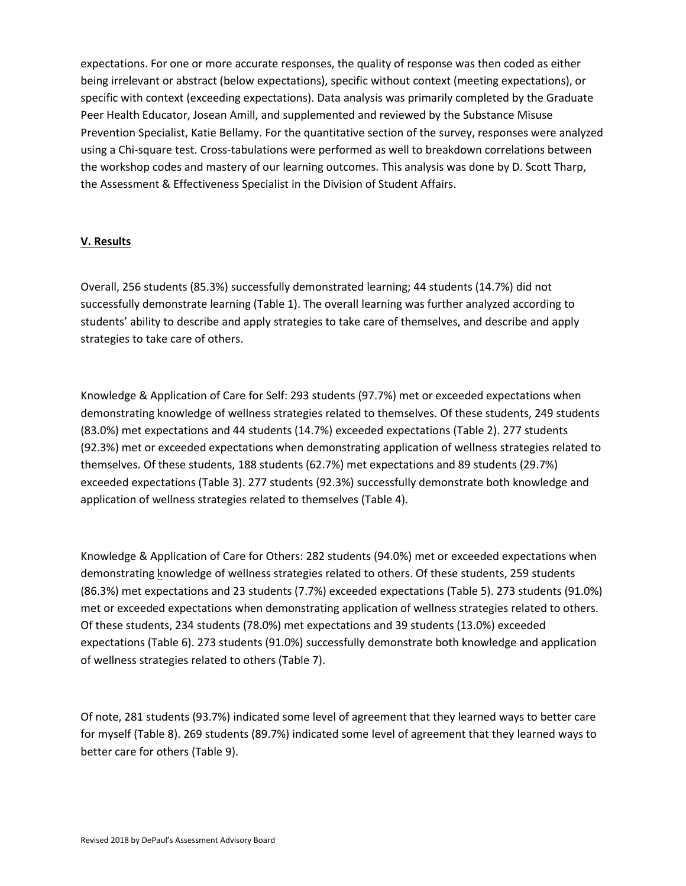expectations. For one or more accurate responses, the quality of response was then coded as either being irrelevant or abstract (below expectations), specific without context (meeting expectations), or specific with context (exceeding expectations). Data analysis was primarily completed by the Graduate Peer Health Educator, Josean Amill, and supplemented and reviewed by the Substance Misuse Prevention Specialist, Katie Bellamy. For the quantitative section of the survey, responses were analyzed using a Chi-square test. Cross-tabulations were performed as well to breakdown correlations between the workshop codes and mastery of our learning outcomes. This analysis was done by D. Scott Tharp, the Assessment & Effectiveness Specialist in the Division of Student Affairs.

## **V. Results**

Overall, 256 students (85.3%) successfully demonstrated learning; 44 students (14.7%) did not successfully demonstrate learning (Table 1). The overall learning was further analyzed according to students' ability to describe and apply strategies to take care of themselves, and describe and apply strategies to take care of others.

Knowledge & Application of Care for Self: 293 students (97.7%) met or exceeded expectations when demonstrating knowledge of wellness strategies related to themselves. Of these students, 249 students (83.0%) met expectations and 44 students (14.7%) exceeded expectations (Table 2). 277 students (92.3%) met or exceeded expectations when demonstrating application of wellness strategies related to themselves. Of these students, 188 students (62.7%) met expectations and 89 students (29.7%) exceeded expectations (Table 3). 277 students (92.3%) successfully demonstrate both knowledge and application of wellness strategies related to themselves (Table 4).

Knowledge & Application of Care for Others: 282 students (94.0%) met or exceeded expectations when demonstrating knowledge of wellness strategies related to others. Of these students, 259 students (86.3%) met expectations and 23 students (7.7%) exceeded expectations (Table 5). 273 students (91.0%) met or exceeded expectations when demonstrating application of wellness strategies related to others. Of these students, 234 students (78.0%) met expectations and 39 students (13.0%) exceeded expectations (Table 6). 273 students (91.0%) successfully demonstrate both knowledge and application of wellness strategies related to others (Table 7).

Of note, 281 students (93.7%) indicated some level of agreement that they learned ways to better care for myself (Table 8). 269 students (89.7%) indicated some level of agreement that they learned ways to better care for others (Table 9).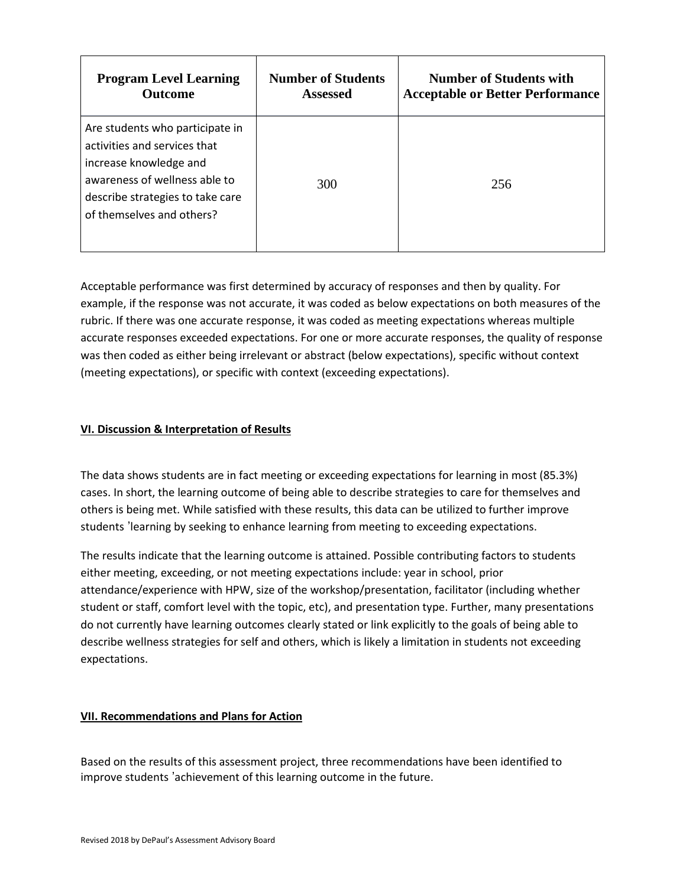| <b>Program Level Learning</b>                                                                                                                                                               | <b>Number of Students</b> | <b>Number of Students with</b>          |
|---------------------------------------------------------------------------------------------------------------------------------------------------------------------------------------------|---------------------------|-----------------------------------------|
| <b>Outcome</b>                                                                                                                                                                              | <b>Assessed</b>           | <b>Acceptable or Better Performance</b> |
| Are students who participate in<br>activities and services that<br>increase knowledge and<br>awareness of wellness able to<br>describe strategies to take care<br>of themselves and others? | 300                       | 256                                     |

Acceptable performance was first determined by accuracy of responses and then by quality. For example, if the response was not accurate, it was coded as below expectations on both measures of the rubric. If there was one accurate response, it was coded as meeting expectations whereas multiple accurate responses exceeded expectations. For one or more accurate responses, the quality of response was then coded as either being irrelevant or abstract (below expectations), specific without context (meeting expectations), or specific with context (exceeding expectations).

## **VI. Discussion & Interpretation of Results**

The data shows students are in fact meeting or exceeding expectations for learning in most (85.3%) cases. In short, the learning outcome of being able to describe strategies to care for themselves and others is being met. While satisfied with these results, this data can be utilized to further improve students 'learning by seeking to enhance learning from meeting to exceeding expectations.

The results indicate that the learning outcome is attained. Possible contributing factors to students either meeting, exceeding, or not meeting expectations include: year in school, prior attendance/experience with HPW, size of the workshop/presentation, facilitator (including whether student or staff, comfort level with the topic, etc), and presentation type. Further, many presentations do not currently have learning outcomes clearly stated or link explicitly to the goals of being able to describe wellness strategies for self and others, which is likely a limitation in students not exceeding expectations.

#### **VII. Recommendations and Plans for Action**

Based on the results of this assessment project, three recommendations have been identified to improve students 'achievement of this learning outcome in the future.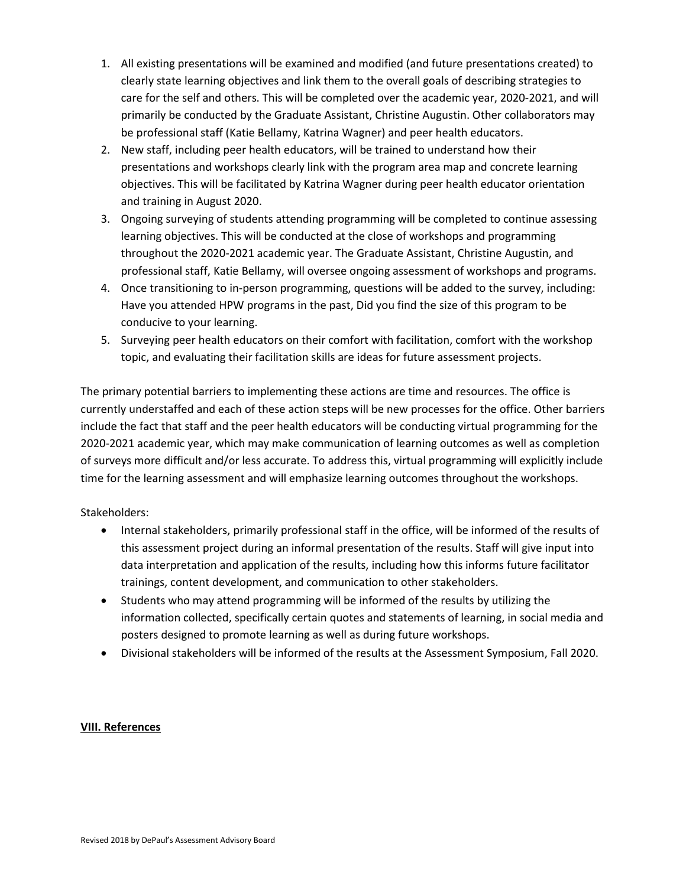- 1. All existing presentations will be examined and modified (and future presentations created) to clearly state learning objectives and link them to the overall goals of describing strategies to care for the self and others. This will be completed over the academic year, 2020-2021, and will primarily be conducted by the Graduate Assistant, Christine Augustin. Other collaborators may be professional staff (Katie Bellamy, Katrina Wagner) and peer health educators.
- 2. New staff, including peer health educators, will be trained to understand how their presentations and workshops clearly link with the program area map and concrete learning objectives. This will be facilitated by Katrina Wagner during peer health educator orientation and training in August 2020.
- 3. Ongoing surveying of students attending programming will be completed to continue assessing learning objectives. This will be conducted at the close of workshops and programming throughout the 2020-2021 academic year. The Graduate Assistant, Christine Augustin, and professional staff, Katie Bellamy, will oversee ongoing assessment of workshops and programs.
- 4. Once transitioning to in-person programming, questions will be added to the survey, including: Have you attended HPW programs in the past, Did you find the size of this program to be conducive to your learning.
- 5. Surveying peer health educators on their comfort with facilitation, comfort with the workshop topic, and evaluating their facilitation skills are ideas for future assessment projects.

The primary potential barriers to implementing these actions are time and resources. The office is currently understaffed and each of these action steps will be new processes for the office. Other barriers include the fact that staff and the peer health educators will be conducting virtual programming for the 2020-2021 academic year, which may make communication of learning outcomes as well as completion of surveys more difficult and/or less accurate. To address this, virtual programming will explicitly include time for the learning assessment and will emphasize learning outcomes throughout the workshops.

# Stakeholders:

- Internal stakeholders, primarily professional staff in the office, will be informed of the results of this assessment project during an informal presentation of the results. Staff will give input into data interpretation and application of the results, including how this informs future facilitator trainings, content development, and communication to other stakeholders.
- Students who may attend programming will be informed of the results by utilizing the information collected, specifically certain quotes and statements of learning, in social media and posters designed to promote learning as well as during future workshops.
- Divisional stakeholders will be informed of the results at the Assessment Symposium, Fall 2020.

#### **VIII. References**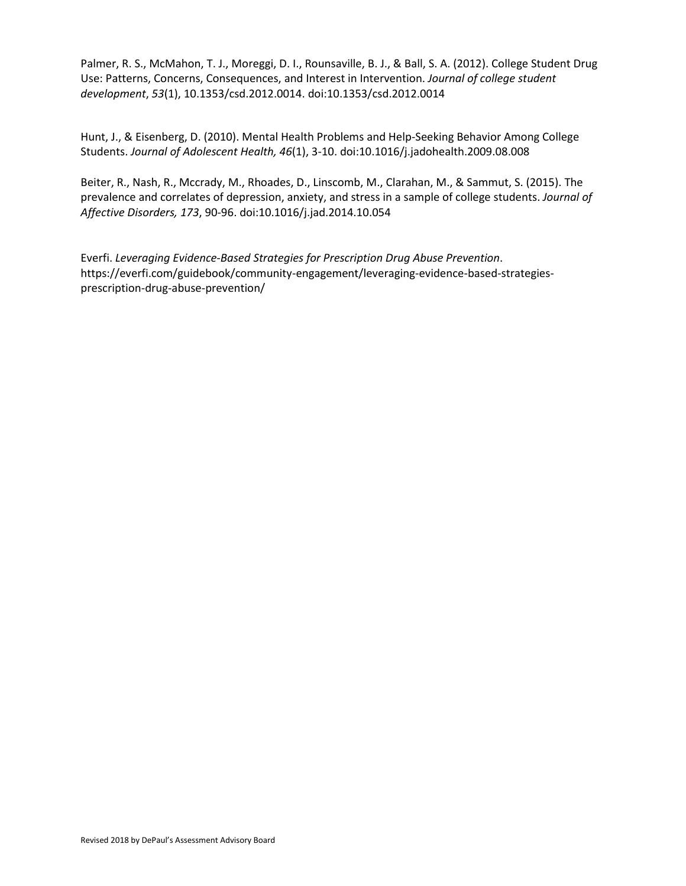Palmer, R. S., McMahon, T. J., Moreggi, D. I., Rounsaville, B. J., & Ball, S. A. (2012). College Student Drug Use: Patterns, Concerns, Consequences, and Interest in Intervention. *Journal of college student development*, *53*(1), 10.1353/csd.2012.0014. doi:10.1353/csd.2012.0014

Hunt, J., & Eisenberg, D. (2010). Mental Health Problems and Help-Seeking Behavior Among College Students. *Journal of Adolescent Health, 46*(1), 3-10. doi:10.1016/j.jadohealth.2009.08.008

Beiter, R., Nash, R., Mccrady, M., Rhoades, D., Linscomb, M., Clarahan, M., & Sammut, S. (2015). The prevalence and correlates of depression, anxiety, and stress in a sample of college students. *Journal of Affective Disorders, 173*, 90-96. doi:10.1016/j.jad.2014.10.054

Everfi. *Leveraging Evidence-Based Strategies for Prescription Drug Abuse Prevention*. https://everfi.com/guidebook/community-engagement/leveraging-evidence-based-strategiesprescription-drug-abuse-prevention/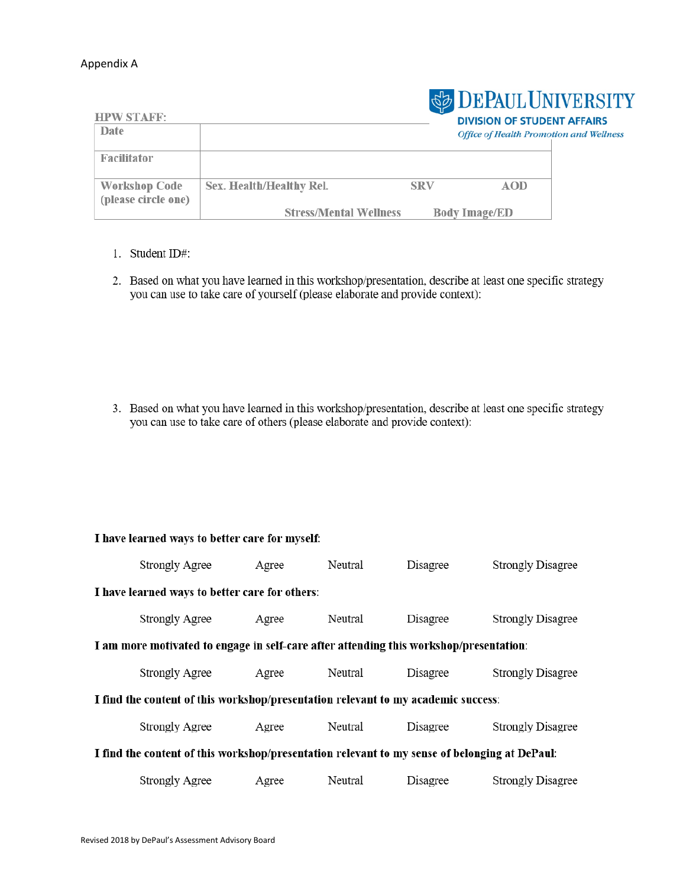#### Appendix A

| <b>HPW STAFF:</b>                           |                               |            | <b>SEPAUL UNIVERSITY</b><br><b>DIVISION OF STUDENT AFFAIRS</b> |  |
|---------------------------------------------|-------------------------------|------------|----------------------------------------------------------------|--|
| Date                                        |                               |            | <b>Office of Health Promotion and Wellness</b>                 |  |
| <b>Facilitator</b>                          |                               |            |                                                                |  |
| <b>Workshop Code</b><br>(please circle one) | Sex. Health/Healthy Rel.      | <b>SRV</b> | <b>AOD</b>                                                     |  |
|                                             | <b>Stress/Mental Wellness</b> |            | <b>Body Image/ED</b>                                           |  |

- 1. Student ID#:
- 2. Based on what you have learned in this workshop/presentation, describe at least one specific strategy you can use to take care of yourself (please elaborate and provide context):

3. Based on what you have learned in this workshop/presentation, describe at least one specific strategy you can use to take care of others (please elaborate and provide context):

# I have learned ways to better care for myself:

|                                                                                               | <b>Strongly Agree</b> | Agree | Neutral | Disagree | <b>Strongly Disagree</b> |
|-----------------------------------------------------------------------------------------------|-----------------------|-------|---------|----------|--------------------------|
| I have learned ways to better care for others:                                                |                       |       |         |          |                          |
|                                                                                               | <b>Strongly Agree</b> | Agree | Neutral | Disagree | <b>Strongly Disagree</b> |
| I am more motivated to engage in self-care after attending this workshop/presentation:        |                       |       |         |          |                          |
|                                                                                               | <b>Strongly Agree</b> | Agree | Neutral | Disagree | <b>Strongly Disagree</b> |
| I find the content of this workshop/presentation relevant to my academic success:             |                       |       |         |          |                          |
|                                                                                               | <b>Strongly Agree</b> | Agree | Neutral | Disagree | <b>Strongly Disagree</b> |
| I find the content of this workshop/presentation relevant to my sense of belonging at DePaul: |                       |       |         |          |                          |
|                                                                                               | <b>Strongly Agree</b> | Agree | Neutral | Disagree | <b>Strongly Disagree</b> |